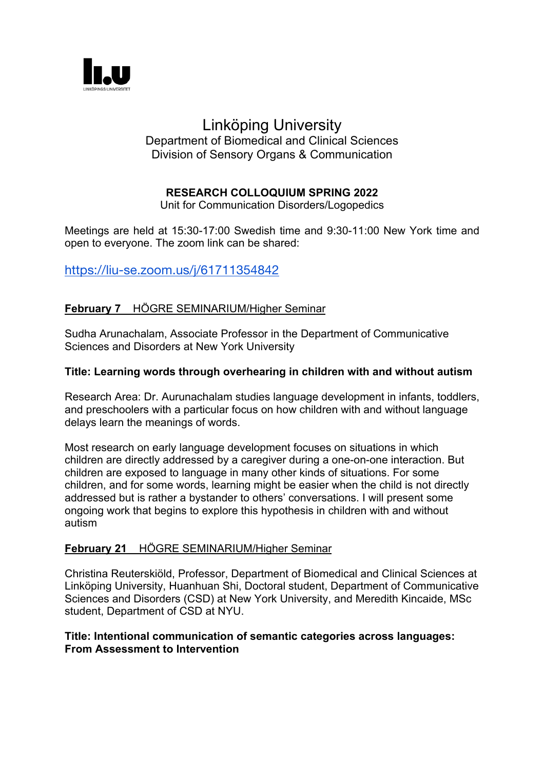

# Linköping University

#### Department of Biomedical and Clinical Sciences Division of Sensory Organs & Communication

## **RESEARCH COLLOQUIUM SPRING 2022**

Unit for Communication Disorders/Logopedics

Meetings are held at 15:30-17:00 Swedish time and 9:30-11:00 New York time and open to everyone. The zoom link can be shared:

## https://liu-se.zoom.us/j/61711354842

### **February 7** HÖGRE SEMINARIUM/Higher Seminar

Sudha Arunachalam, Associate Professor in the Department of Communicative Sciences and Disorders at New York University

#### **Title: Learning words through overhearing in children with and without autism**

Research Area: Dr. Aurunachalam studies language development in infants, toddlers, and preschoolers with a particular focus on how children with and without language delays learn the meanings of words.

Most research on early language development focuses on situations in which children are directly addressed by a caregiver during a one-on-one interaction. But children are exposed to language in many other kinds of situations. For some children, and for some words, learning might be easier when the child is not directly addressed but is rather a bystander to others' conversations. I will present some ongoing work that begins to explore this hypothesis in children with and without autism

#### **February 21** HÖGRE SEMINARIUM/Higher Seminar

Christina Reuterskiöld, Professor, Department of Biomedical and Clinical Sciences at Linköping University, Huanhuan Shi, Doctoral student, Department of Communicative Sciences and Disorders (CSD) at New York University, and Meredith Kincaide, MSc student, Department of CSD at NYU.

#### **Title: Intentional communication of semantic categories across languages: From Assessment to Intervention**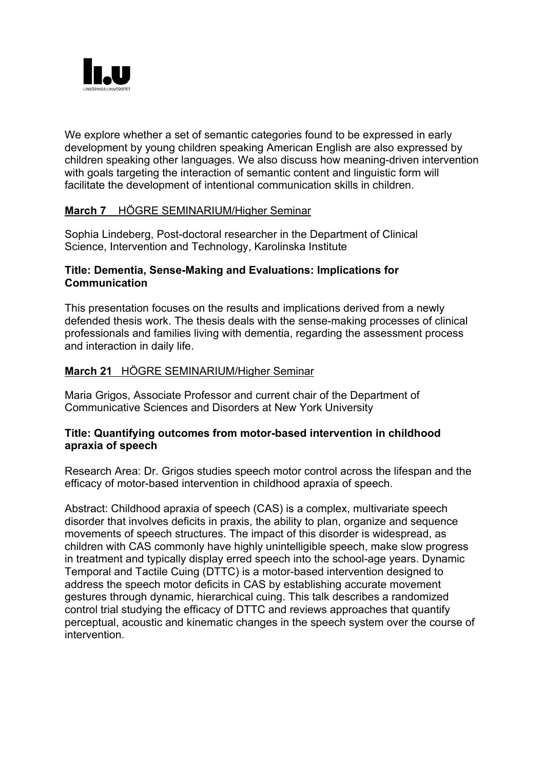

We explore whether a set of semantic categories found to be expressed in early development by young children speaking American English are also expressed by children speaking other languages. We also discuss how meaning-driven intervention with goals targeting the interaction of semantic content and linguistic form will facilitate the development of intentional communication skills in children.

#### **March 7** HÖGRE SEMINARIUM/Higher Seminar

Sophia Lindeberg, Post-doctoral researcher in the Department of Clinical Science, Intervention and Technology, Karolinska Institute

#### **Title: Dementia, Sense-Making and Evaluations: Implications for Communication**

This presentation focuses on the results and implications derived from a newly defended thesis work. The thesis deals with the sense-making processes of clinical professionals and families living with dementia, regarding the assessment process and interaction in daily life.

#### **March 21** HÖGRE SEMINARIUM/Higher Seminar

Maria Grigos, Associate Professor and current chair of the Department of Communicative Sciences and Disorders at New York University

#### **Title: Quantifying outcomes from motor-based intervention in childhood apraxia of speech**

Research Area: Dr. Grigos studies speech motor control across the lifespan and the efficacy of motor-based intervention in childhood apraxia of speech.

Abstract: Childhood apraxia of speech (CAS) is a complex, multivariate speech disorder that involves deficits in praxis, the ability to plan, organize and sequence movements of speech structures. The impact of this disorder is widespread, as children with CAS commonly have highly unintelligible speech, make slow progress in treatment and typically display erred speech into the school-age years. Dynamic Temporal and Tactile Cuing (DTTC) is a motor-based intervention designed to address the speech motor deficits in CAS by establishing accurate movement gestures through dynamic, hierarchical cuing. This talk describes a randomized control trial studying the efficacy of DTTC and reviews approaches that quantify perceptual, acoustic and kinematic changes in the speech system over the course of intervention.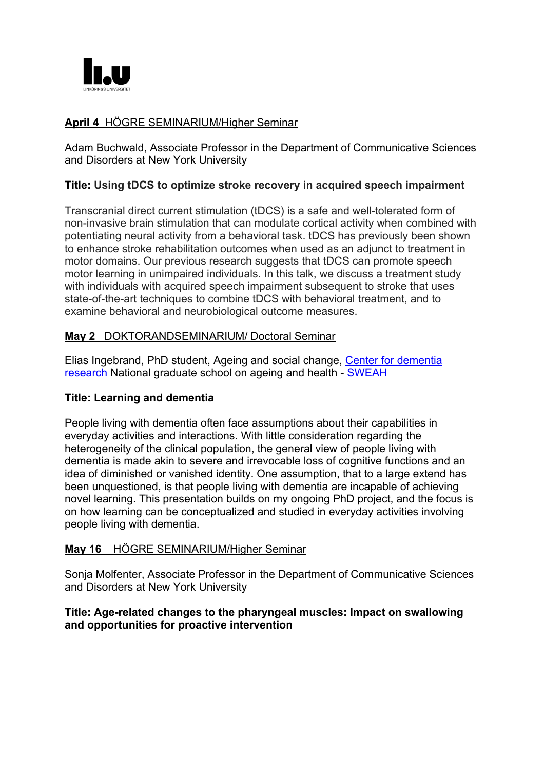

## **April 4** HÖGRE SEMINARIUM/Higher Seminar

Adam Buchwald, Associate Professor in the Department of Communicative Sciences and Disorders at New York University

#### **Title: Using tDCS to optimize stroke recovery in acquired speech impairment**

Transcranial direct current stimulation (tDCS) is a safe and well-tolerated form of non-invasive brain stimulation that can modulate cortical activity when combined with potentiating neural activity from a behavioral task. tDCS has previously been shown to enhance stroke rehabilitation outcomes when used as an adjunct to treatment in motor domains. Our previous research suggests that tDCS can promote speech motor learning in unimpaired individuals. In this talk, we discuss a treatment study with individuals with acquired speech impairment subsequent to stroke that uses state-of-the-art techniques to combine tDCS with behavioral treatment, and to examine behavioral and neurobiological outcome measures.

#### **May 2** DOKTORANDSEMINARIUM/ Doctoral Seminar

Elias Ingebrand, PhD student, Ageing and social change, Center for dementia research National graduate school on ageing and health - SWEAH

#### **Title: Learning and dementia**

People living with dementia often face assumptions about their capabilities in everyday activities and interactions. With little consideration regarding the heterogeneity of the clinical population, the general view of people living with dementia is made akin to severe and irrevocable loss of cognitive functions and an idea of diminished or vanished identity. One assumption, that to a large extend has been unquestioned, is that people living with dementia are incapable of achieving novel learning. This presentation builds on my ongoing PhD project, and the focus is on how learning can be conceptualized and studied in everyday activities involving people living with dementia.

#### **May 16** HÖGRE SEMINARIUM/Higher Seminar

Sonja Molfenter, Associate Professor in the Department of Communicative Sciences and Disorders at New York University

#### **Title: Age-related changes to the pharyngeal muscles: Impact on swallowing and opportunities for proactive intervention**